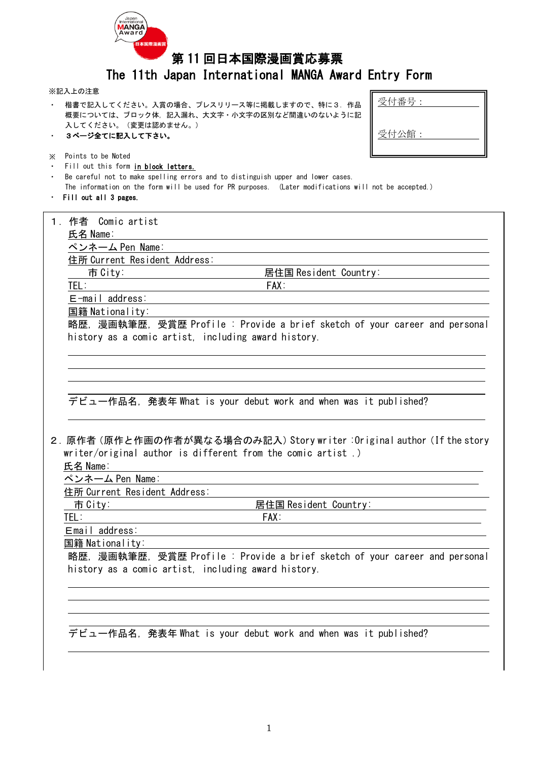

# 第 11 回日本国際漫画賞応募票

## The 11th Japan International MANGA Award Entry Form

#### ※記入上の注意

・ 楷書で記入してください。入賞の場合、プレスリリース等に掲載しますので、特に3.作品 概要については、ブロック体,記入漏れ、大文字・小文字の区別など間違いのないように記 入してください。(変更は認めません。) ・ 3ページ全てに記入して下さい。

| 受付番号: |  |
|-------|--|
| 受付公館: |  |

- ※ Points to be Noted
- Fill out this form in block letters.
- ・ Be careful not to make spelling errors and to distinguish upper and lower cases. The information on the form will be used for PR purposes. (Later modifications will not be accepted.)
- ・ Fill out all 3 pages.

|                                                                          | 1. 作者 Comic artist                                                                                   |  |  |  |
|--------------------------------------------------------------------------|------------------------------------------------------------------------------------------------------|--|--|--|
|                                                                          | 氏名 Name:                                                                                             |  |  |  |
|                                                                          | ペンネーム Pen Name:                                                                                      |  |  |  |
|                                                                          | 住所 Current Resident Address:                                                                         |  |  |  |
|                                                                          | 市 City:<br>居住国 Resident Country:                                                                     |  |  |  |
|                                                                          | TEL:<br>FAX:                                                                                         |  |  |  |
|                                                                          | $E$ -mail address:                                                                                   |  |  |  |
|                                                                          | 国籍 Nationality:                                                                                      |  |  |  |
|                                                                          | 略歴, 漫画執筆歴, 受賞歴 Profile : Provide a brief sketch of your career and personal                          |  |  |  |
|                                                                          | history as a comic artist, including award history.                                                  |  |  |  |
|                                                                          |                                                                                                      |  |  |  |
|                                                                          |                                                                                                      |  |  |  |
|                                                                          |                                                                                                      |  |  |  |
|                                                                          |                                                                                                      |  |  |  |
|                                                                          | デビュー作品名, 発表年 What is your debut work and when was it published?                                      |  |  |  |
|                                                                          |                                                                                                      |  |  |  |
|                                                                          |                                                                                                      |  |  |  |
| 2. 原作者 (原作と作画の作者が異なる場合のみ記入) Story writer : Original author (If the story |                                                                                                      |  |  |  |
|                                                                          | writer/original author is different from the comic artist.)                                          |  |  |  |
|                                                                          | 氏名 Name:                                                                                             |  |  |  |
|                                                                          | ペンネーム Pen Name:                                                                                      |  |  |  |
|                                                                          | 住所 Current Resident Address:                                                                         |  |  |  |
|                                                                          | 市 City: http://<br>居住国 Resident Country: The monomic results are the monomic results and a monomic r |  |  |  |
|                                                                          | TEL:<br>$FAX$ :                                                                                      |  |  |  |
|                                                                          | Email address:                                                                                       |  |  |  |
|                                                                          | 国籍 Nationality:                                                                                      |  |  |  |
|                                                                          | 略歴. 漫画執筆歴, 受賞歴 Profile : Provide a brief sketch of your career and personal                          |  |  |  |
|                                                                          | history as a comic artist, including award history.                                                  |  |  |  |
|                                                                          |                                                                                                      |  |  |  |
|                                                                          |                                                                                                      |  |  |  |
|                                                                          |                                                                                                      |  |  |  |
|                                                                          |                                                                                                      |  |  |  |
|                                                                          | デビュー作品名, 発表年 What is your debut work and when was it published?                                      |  |  |  |
|                                                                          |                                                                                                      |  |  |  |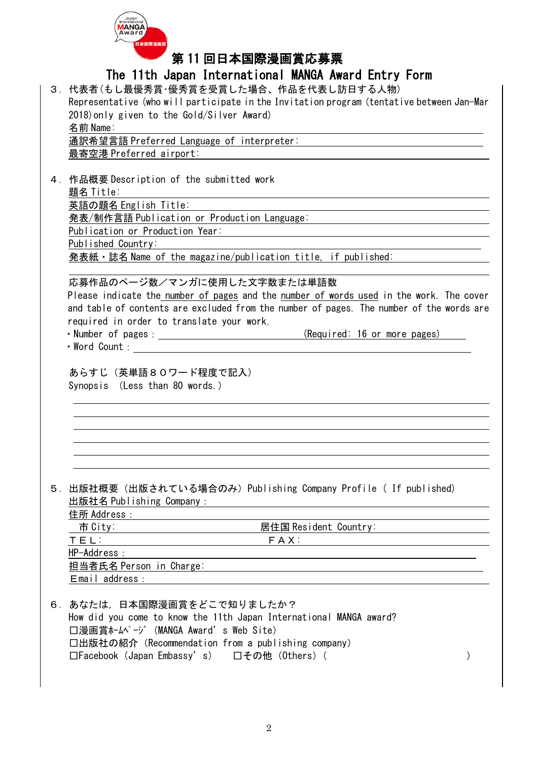

第 11 回日本国際漫画賞応募票

# The 11th Japan International MANGA Award Entry Form

| <u>IIIG TILII VAPAII IIILGIIIALIVIIAI MANUA AWATU LIILIY FUTIII</u>                                            |
|----------------------------------------------------------------------------------------------------------------|
| 3.代表者(もし最優秀賞・優秀賞を受賞した場合、作品を代表し訪日する人物)                                                                          |
| Representative (who will participate in the Invitation program (tentative between Jan-Mar                      |
| 2018) only given to the Gold/Silver Award)                                                                     |
| 名前 Name:                                                                                                       |
| <u> 1989 - Andrea Barbara, Amerikaansk politiker (d. 1989)</u><br>通訳希望言語 Preferred Language of interpreter:    |
| 最寄空港 Preferred airport:                                                                                        |
|                                                                                                                |
|                                                                                                                |
| 4. 作品概要 Description of the submitted work                                                                      |
| 題名 Title:                                                                                                      |
| 英語の題名 English Title:                                                                                           |
|                                                                                                                |
| Publication or Production Year:<br><u> 1980 - Andrea Station Barbara, amerikan personal (h. 1980).</u>         |
| Published Country:                                                                                             |
| 発表紙・誌名 Name of the magazine/publication title, if published:                                                   |
|                                                                                                                |
|                                                                                                                |
| 応募作品のページ数/マンガに使用した文字数または単語数                                                                                    |
| Please indicate the number of pages and the number of words used in the work. The cover                        |
| and table of contents are excluded from the number of pages. The number of the words are                       |
| required in order to translate your work.                                                                      |
|                                                                                                                |
| • Word Count : <u>_________________</u>                                                                        |
|                                                                                                                |
| あらすじ(英単語80ワード程度で記入)                                                                                            |
| Synopsis (Less than 80 words.)                                                                                 |
|                                                                                                                |
|                                                                                                                |
|                                                                                                                |
|                                                                                                                |
|                                                                                                                |
|                                                                                                                |
|                                                                                                                |
|                                                                                                                |
| 5. 出版社概要(出版されている場合のみ)Publishing Company Profile ( If published)                                                |
|                                                                                                                |
| 出版社名 Publishing Company : www.company.com/www.com/www.com/www.com/www.com/www.com                              |
| 住所 Address :                                                                                                   |
| 市 City: The City: The City: The Country: The City: The City: The City: The City: The City: The City: The City: |
| TEL: FAX: FAX:                                                                                                 |
| HP-Address :                                                                                                   |
|                                                                                                                |
|                                                                                                                |
|                                                                                                                |
|                                                                                                                |
| 6. あなたは、日本国際漫画賞をどこで知りましたか?                                                                                     |
| How did you come to know the 11th Japan International MANGA award?                                             |
| □漫画賞ホームページ (MANGA Award's Web Site)                                                                            |
| 口出版社の紹介 (Recommendation from a publishing company)                                                             |
| □Facebook (Japan Embassy's) □その他 (Others) (<br>$\mathcal{C}$                                                   |
|                                                                                                                |